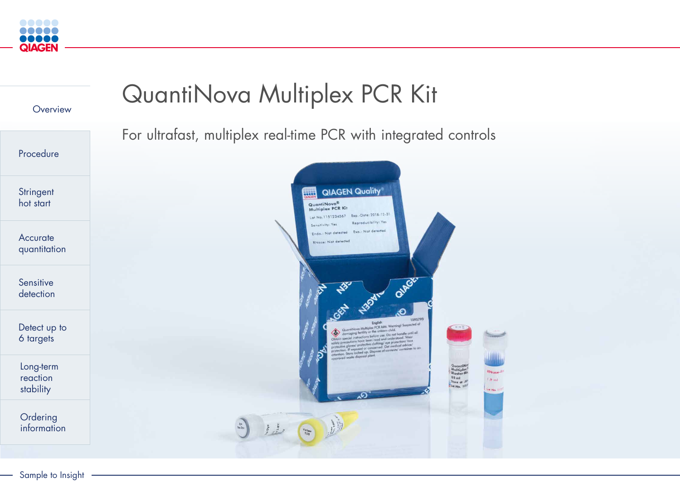

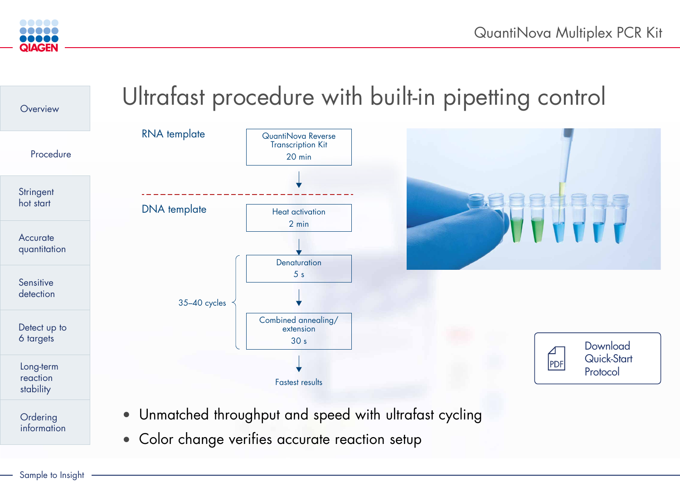## Ultrafast procedure with built-in pipetting control

### **Download** [Quick-Start](https://www.qiagen.com/resources/resourcedetail?id=70007df9-c707-42d1-8795-fe063af8912f&lang=en)  Protocol





| <b>Jova Reverse</b><br>cription Kit<br>O min |  |
|----------------------------------------------|--|
|                                              |  |
| activation<br>2 min                          |  |
|                                              |  |
| aturation<br>5s                              |  |
|                                              |  |
| d annealing/<br>tension<br>30s               |  |
|                                              |  |



• Unmatched throughput and speed with ultrafast cycling



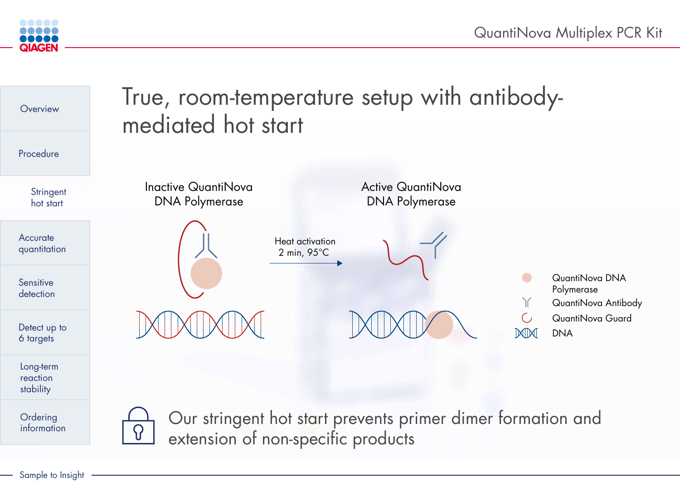



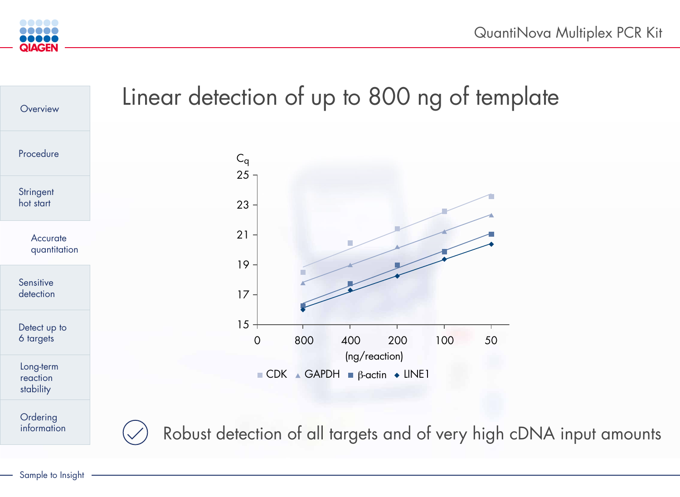# of up to 800 ng of template

Sample to Insight



| Overview                           | Linear detection o  |
|------------------------------------|---------------------|
| Procedure                          | $C_q$<br>25         |
| Stringent<br>hot start             | 23                  |
| <b>Accurate</b><br>quantitation    | 21                  |
| Sensitive<br>detection             | 19<br>$\mid$ /      |
| Detect up to<br>6 targets          | 15                  |
| Long-term<br>reaction<br>stability |                     |
| Ordering<br>information            | Robust detection of |
|                                    |                     |



of all targets and of very high cDNA input amounts



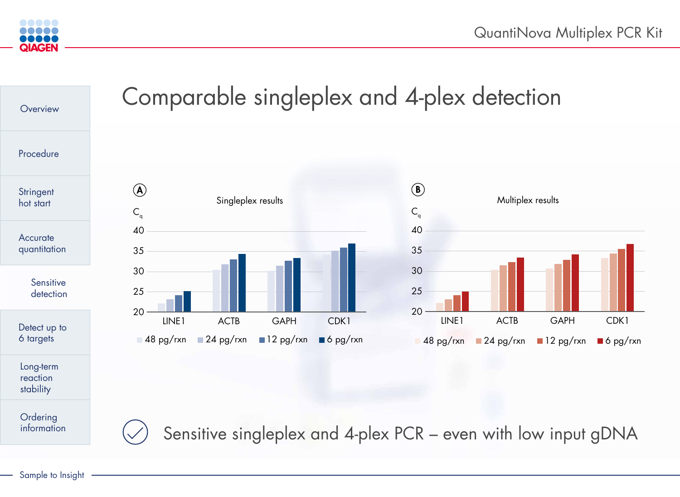

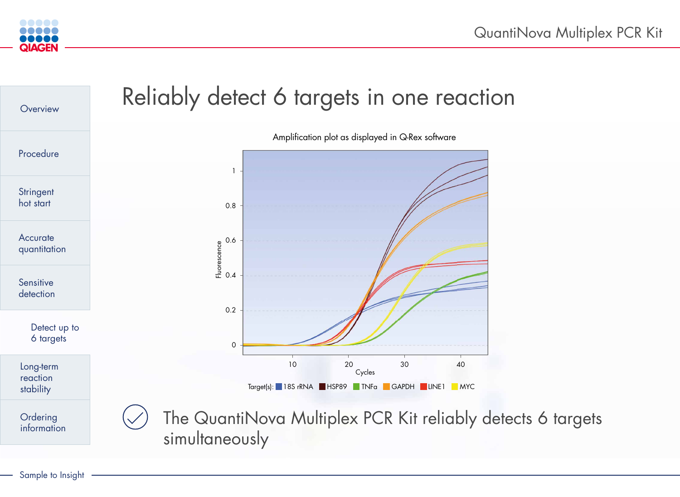

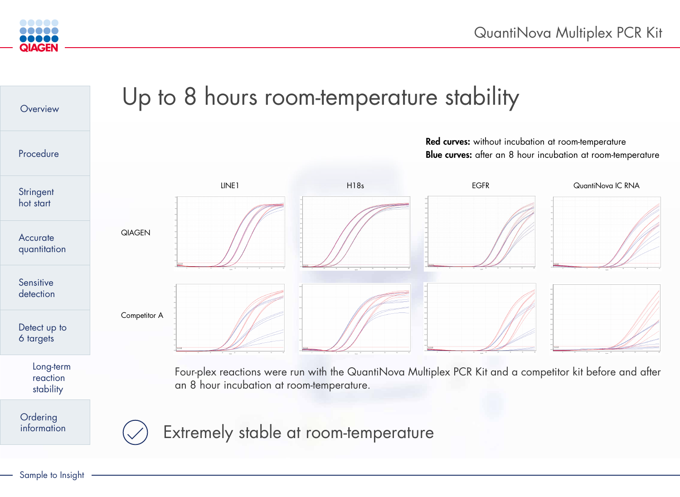